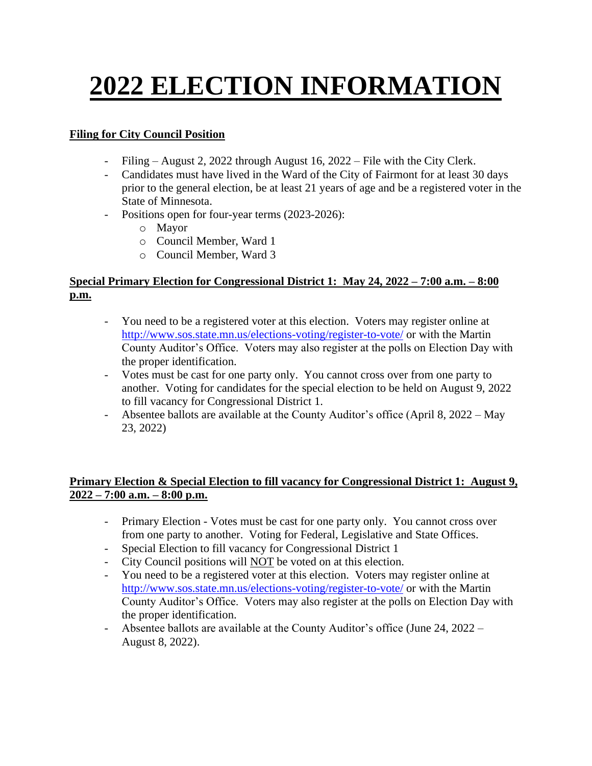# **2022 ELECTION INFORMATION**

## **Filing for City Council Position**

- Filing August 2, 2022 through August 16,  $2022$  File with the City Clerk.
- Candidates must have lived in the Ward of the City of Fairmont for at least 30 days prior to the general election, be at least 21 years of age and be a registered voter in the State of Minnesota.
- Positions open for four-year terms (2023-2026):
	- o Mayor
	- o Council Member, Ward 1
	- o Council Member, Ward 3

### **Special Primary Election for Congressional District 1: May 24, 2022 – 7:00 a.m. – 8:00 p.m.**

- You need to be a registered voter at this election. Voters may register online at <http://www.sos.state.mn.us/elections-voting/register-to-vote/> or with the Martin County Auditor's Office. Voters may also register at the polls on Election Day with the proper identification.
- Votes must be cast for one party only. You cannot cross over from one party to another. Voting for candidates for the special election to be held on August 9, 2022 to fill vacancy for Congressional District 1.
- Absentee ballots are available at the County Auditor's office (April 8, 2022 May 23, 2022)

## **Primary Election & Special Election to fill vacancy for Congressional District 1: August 9, 2022 – 7:00 a.m. – 8:00 p.m.**

- Primary Election Votes must be cast for one party only. You cannot cross over from one party to another. Voting for Federal, Legislative and State Offices.
- Special Election to fill vacancy for Congressional District 1
- City Council positions will NOT be voted on at this election.
- You need to be a registered voter at this election. Voters may register online at <http://www.sos.state.mn.us/elections-voting/register-to-vote/> or with the Martin County Auditor's Office. Voters may also register at the polls on Election Day with the proper identification.
- Absentee ballots are available at the County Auditor's office (June 24, 2022 August 8, 2022).